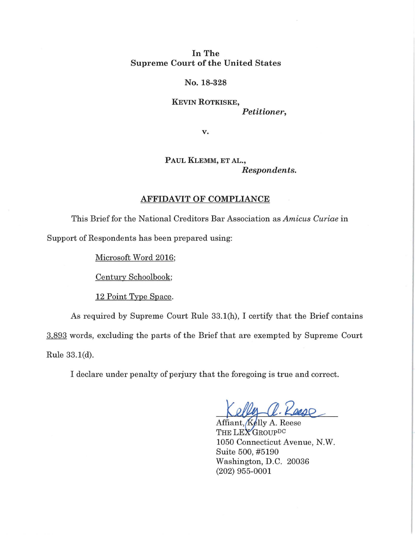## In The Supreme Court of the United States

## No. 18-328

KEVIN ROTKISKE, *Petitioner,* 

v.

PAUL KLEMM, ET AL., *Respondents.* 

## AFFIDAVIT OF COMPLIANCE

This Brief for the National Creditors Bar Association as *Amicus Curiae* in Support of Respondents has been prepared using:

Microsoft Word 2016;

Century Schoolbook;

12 Point Type Space.

As required by Supreme Court Rule 33.1(h), I certify that the Brief contains 3,893 words, excluding the parts of the Brief that are exempted by Supreme Court Rule 33.1(d).

I declare under penalty of perjury that the foregoing is true and correct.

R. Keess

Affiant, Kelly A. Reese THE LEX GROUPDC 1050 Connecticut Avenue, N.W. Suite 500, #5190 Washington, D.C. 20036 (202) 955-0001